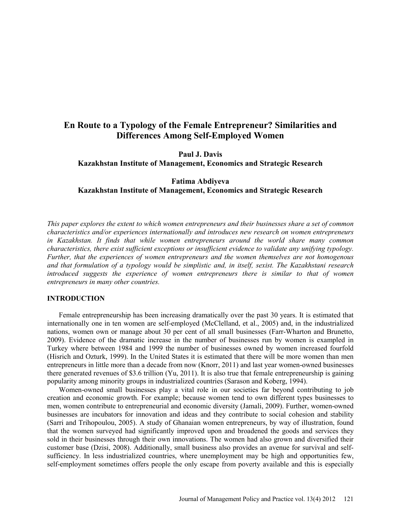# **En Route to a Typology of the Female Entrepreneur? Similarities and Differences Among Self-Employed Women**

**Paul J. Davis Kazakhstan Institute of Management, Economics and Strategic Research** 

# **Fatima Abdiyeva Kazakhstan Institute of Management, Economics and Strategic Research**

*This paper explores the extent to which women entrepreneurs and their businesses share a set of common characteristics and/or experiences internationally and introduces new research on women entrepreneurs in Kazakhstan. It finds that while women entrepreneurs around the world share many common characteristics, there exist sufficient exceptions or insufficient evidence to validate any unifying typology. Further, that the experiences of women entrepreneurs and the women themselves are not homogenous and that formulation of a typology would be simplistic and, in itself, sexist. The Kazakhstani research*  introduced suggests the experience of women entrepreneurs there is similar to that of women *entrepreneurs in many other countries.* 

#### **INTRODUCTION**

Female entrepreneurship has been increasing dramatically over the past 30 years. It is estimated that internationally one in ten women are self-employed (McClelland, et al., 2005) and, in the industrialized nations, women own or manage about 30 per cent of all small businesses (Farr-Wharton and Brunetto, 2009). Evidence of the dramatic increase in the number of businesses run by women is exampled in Turkey where between 1984 and 1999 the number of businesses owned by women increased fourfold (Hisrich and Ozturk, 1999). In the United States it is estimated that there will be more women than men entrepreneurs in little more than a decade from now (Knorr, 2011) and last year women-owned businesses there generated revenues of \$3.6 trillion (Yu, 2011). It is also true that female entrepreneurship is gaining popularity among minority groups in industrialized countries (Sarason and Koberg, 1994).

Women-owned small businesses play a vital role in our societies far beyond contributing to job creation and economic growth. For example; because women tend to own different types businesses to men, women contribute to entrepreneurial and economic diversity (Jamali, 2009). Further, women-owned businesses are incubators for innovation and ideas and they contribute to social cohesion and stability (Sarri and Trihopoulou, 2005). A study of Ghanaian women entrepreneurs, by way of illustration, found that the women surveyed had significantly improved upon and broadened the goods and services they sold in their businesses through their own innovations. The women had also grown and diversified their customer base (Dzisi, 2008). Additionally, small business also provides an avenue for survival and selfsufficiency. In less industrialized countries, where unemployment may be high and opportunities few, self-employment sometimes offers people the only escape from poverty available and this is especially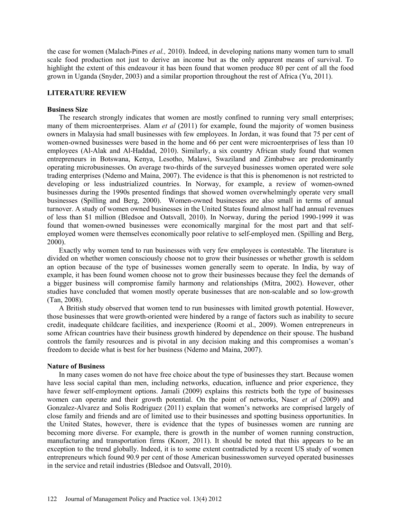the case for women (Malach-Pines *et al.,* 2010). Indeed, in developing nations many women turn to small scale food production not just to derive an income but as the only apparent means of survival. To highlight the extent of this endeavour it has been found that women produce 80 per cent of all the food grown in Uganda (Snyder, 2003) and a similar proportion throughout the rest of Africa (Yu, 2011).

### **LITERATURE REVIEW**

### **Business Size**

The research strongly indicates that women are mostly confined to running very small enterprises; many of them microenterprises. Alam *et al* (2011) for example, found the majority of women business owners in Malaysia had small businesses with few employees. In Jordan, it was found that 75 per cent of women-owned businesses were based in the home and 66 per cent were microenterprises of less than 10 employees (Al-Alak and Al-Haddad, 2010). Similarly, a six country African study found that women entrepreneurs in Botswana, Kenya, Lesotho, Malawi, Swaziland and Zimbabwe are predominantly operating microbusinesses. On average two-thirds of the surveyed businesses women operated were sole trading enterprises (Ndemo and Maina, 2007). The evidence is that this is phenomenon is not restricted to developing or less industrialized countries. In Norway, for example, a review of women-owned businesses during the 1990s presented findings that showed women overwhelmingly operate very small businesses (Spilling and Berg, 2000). Women-owned businesses are also small in terms of annual turnover. A study of women owned businesses in the United States found almost half had annual revenues of less than \$1 million (Bledsoe and Oatsvall, 2010). In Norway, during the period 1990-1999 it was found that women-owned businesses were economically marginal for the most part and that selfemployed women were themselves economically poor relative to self-employed men. (Spilling and Berg, 2000).

Exactly why women tend to run businesses with very few employees is contestable. The literature is divided on whether women consciously choose not to grow their businesses or whether growth is seldom an option because of the type of businesses women generally seem to operate. In India, by way of example, it has been found women choose not to grow their businesses because they feel the demands of a bigger business will compromise family harmony and relationships (Mitra, 2002). However, other studies have concluded that women mostly operate businesses that are non-scalable and so low-growth (Tan, 2008).

A British study observed that women tend to run businesses with limited growth potential. However, those businesses that were growth-oriented were hindered by a range of factors such as inability to secure credit, inadequate childcare facilities, and inexperience (Roomi et al., 2009). Women entrepreneurs in some African countries have their business growth hindered by dependence on their spouse. The husband controls the family resources and is pivotal in any decision making and this compromises a woman's freedom to decide what is best for her business (Ndemo and Maina, 2007).

#### **Nature of Business**

In many cases women do not have free choice about the type of businesses they start. Because women have less social capital than men, including networks, education, influence and prior experience, they have fewer self-employment options. Jamali (2009) explains this restricts both the type of businesses women can operate and their growth potential. On the point of networks, Naser *et al* (2009) and Gonzalez-Alvarez and Solis Rodriguez (2011) explain that women's networks are comprised largely of close family and friends and are of limited use to their businesses and spotting business opportunities. In the United States, however, there is evidence that the types of businesses women are running are becoming more diverse. For example, there is growth in the number of women running construction, manufacturing and transportation firms (Knorr, 2011). It should be noted that this appears to be an exception to the trend globally. Indeed, it is to some extent contradicted by a recent US study of women entrepreneurs which found 90.9 per cent of those American businesswomen surveyed operated businesses in the service and retail industries (Bledsoe and Oatsvall, 2010).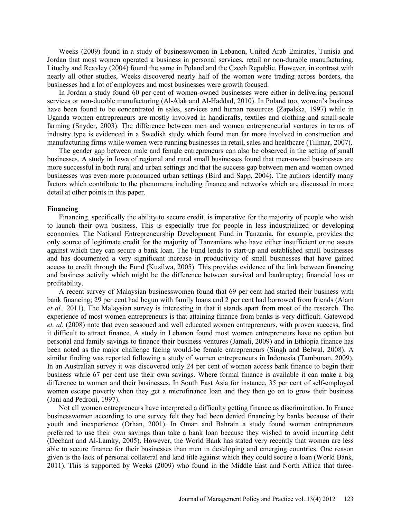Weeks (2009) found in a study of businesswomen in Lebanon, United Arab Emirates, Tunisia and Jordan that most women operated a business in personal services, retail or non-durable manufacturing. Lituchy and Reavley (2004) found the same in Poland and the Czech Republic. However, in contrast with nearly all other studies, Weeks discovered nearly half of the women were trading across borders, the businesses had a lot of employees and most businesses were growth focused.

In Jordan a study found 60 per cent of women-owned businesses were either in delivering personal services or non-durable manufacturing (Al-Alak and Al-Haddad, 2010). In Poland too, women's business have been found to be concentrated in sales, services and human resources (Zapalska, 1997) while in Uganda women entrepreneurs are mostly involved in handicrafts, textiles and clothing and small-scale farming (Snyder, 2003). The difference between men and women entrepreneurial ventures in terms of industry type is evidenced in a Swedish study which found men far more involved in construction and manufacturing firms while women were running businesses in retail, sales and healthcare (Tillmar, 2007).

The gender gap between male and female entrepreneurs can also be observed in the setting of small businesses. A study in Iowa of regional and rural small businesses found that men-owned businesses are more successful in both rural and urban settings and that the success gap between men and women owned businesses was even more pronounced urban settings (Bird and Sapp, 2004). The authors identify many factors which contribute to the phenomena including finance and networks which are discussed in more detail at other points in this paper.

#### **Financing**

Financing, specifically the ability to secure credit, is imperative for the majority of people who wish to launch their own business. This is especially true for people in less industrialized or developing economies. The National Entrepreneurship Development Fund in Tanzania, for example, provides the only source of legitimate credit for the majority of Tanzanians who have either insufficient or no assets against which they can secure a bank loan. The Fund lends to start-up and established small businesses and has documented a very significant increase in productivity of small businesses that have gained access to credit through the Fund (Kuzilwa, 2005). This provides evidence of the link between financing and business activity which might be the difference between survival and bankruptcy; financial loss or profitability.

A recent survey of Malaysian businesswomen found that 69 per cent had started their business with bank financing; 29 per cent had begun with family loans and 2 per cent had borrowed from friends (Alam *et al.,* 2011). The Malaysian survey is interesting in that it stands apart from most of the research. The experience of most women entrepreneurs is that attaining finance from banks is very difficult. Gatewood *et. al.* (2008) note that even seasoned and well educated women entrepreneurs, with proven success, find it difficult to attract finance. A study in Lebanon found most women entrepreneurs have no option but personal and family savings to finance their business ventures (Jamali, 2009) and in Ethiopia finance has been noted as the major challenge facing would-be female entrepreneurs (Singh and Belwal, 2008). A similar finding was reported following a study of women entrepreneurs in Indonesia (Tambunan, 2009). In an Australian survey it was discovered only 24 per cent of women access bank finance to begin their business while 67 per cent use their own savings. Where formal finance is available it can make a big difference to women and their businesses. In South East Asia for instance, 35 per cent of self-employed women escape poverty when they get a microfinance loan and they then go on to grow their business (Jani and Pedroni, 1997).

Not all women entrepreneurs have interpreted a difficulty getting finance as discrimination. In France businesswomen according to one survey felt they had been denied financing by banks because of their youth and inexperience (Orhan, 2001). In Oman and Bahrain a study found women entrepreneurs preferred to use their own savings than take a bank loan because they wished to avoid incurring debt (Dechant and Al-Lamky, 2005). However, the World Bank has stated very recently that women are less able to secure finance for their businesses than men in developing and emerging countries. One reason given is the lack of personal collateral and land title against which they could secure a loan (World Bank, 2011). This is supported by Weeks (2009) who found in the Middle East and North Africa that three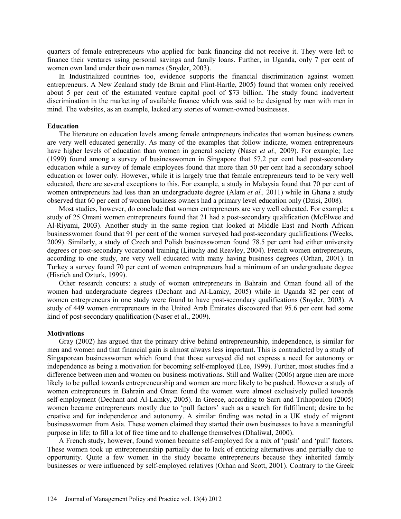quarters of female entrepreneurs who applied for bank financing did not receive it. They were left to finance their ventures using personal savings and family loans. Further, in Uganda, only 7 per cent of women own land under their own names (Snyder, 2003).

In Industrialized countries too, evidence supports the financial discrimination against women entrepreneurs. A New Zealand study (de Bruin and Flint-Hartle, 2005) found that women only received about 5 per cent of the estimated venture capital pool of \$73 billion. The study found inadvertent discrimination in the marketing of available finance which was said to be designed by men with men in mind. The websites, as an example, lacked any stories of women-owned businesses.

#### **Education**

The literature on education levels among female entrepreneurs indicates that women business owners are very well educated generally. As many of the examples that follow indicate, women entrepreneurs have higher levels of education than women in general society (Naser *et al.,* 2009). For example; Lee (1999) found among a survey of businesswomen in Singapore that 57.2 per cent had post-secondary education while a survey of female employees found that more than 50 per cent had a secondary school education or lower only. However, while it is largely true that female entrepreneurs tend to be very well educated, there are several exceptions to this. For example, a study in Malaysia found that 70 per cent of women entrepreneurs had less than an undergraduate degree (Alam *et al.,* 2011) while in Ghana a study observed that 60 per cent of women business owners had a primary level education only (Dzisi, 2008).

Most studies, however, do conclude that women entrepreneurs are very well educated. For example; a study of 25 Omani women entrepreneurs found that 21 had a post-secondary qualification (McElwee and Al-Riyami, 2003). Another study in the same region that looked at Middle East and North African businesswomen found that 91 per cent of the women surveyed had post-secondary qualifications (Weeks, 2009). Similarly, a study of Czech and Polish businesswomen found 78.5 per cent had either university degrees or post-secondary vocational training (Lituchy and Reavley, 2004). French women entrepreneurs, according to one study, are very well educated with many having business degrees (Orhan, 2001). In Turkey a survey found 70 per cent of women entrepreneurs had a minimum of an undergraduate degree (Hisrich and Ozturk, 1999).

Other research concurs: a study of women entrepreneurs in Bahrain and Oman found all of the women had undergraduate degrees (Dechant and Al-Lamky, 2005) while in Uganda 82 per cent of women entrepreneurs in one study were found to have post-secondary qualifications (Snyder, 2003). A study of 449 women entrepreneurs in the United Arab Emirates discovered that 95.6 per cent had some kind of post-secondary qualification (Naser et al., 2009).

#### **Motivations**

Gray (2002) has argued that the primary drive behind entrepreneurship, independence, is similar for men and women and that financial gain is almost always less important. This is contradicted by a study of Singaporean businesswomen which found that those surveyed did not express a need for autonomy or independence as being a motivation for becoming self-employed (Lee, 1999). Further, most studies find a difference between men and women on business motivations. Still and Walker (2006) argue men are more likely to be pulled towards entrepreneurship and women are more likely to be pushed. However a study of women entrepreneurs in Bahrain and Oman found the women were almost exclusively pulled towards self-employment (Dechant and Al-Lamky, 2005). In Greece, according to Sarri and Trihopoulou (2005) women became entrepreneurs mostly due to 'pull factors' such as a search for fulfillment; desire to be creative and for independence and autonomy. A similar finding was noted in a UK study of migrant businesswomen from Asia. These women claimed they started their own businesses to have a meaningful purpose in life; to fill a lot of free time and to challenge themselves (Dhaliwal, 2000).

A French study, however, found women became self-employed for a mix of 'push' and 'pull' factors. These women took up entrepreneurship partially due to lack of enticing alternatives and partially due to opportunity. Quite a few women in the study became entrepreneurs because they inherited family businesses or were influenced by self-employed relatives (Orhan and Scott, 2001). Contrary to the Greek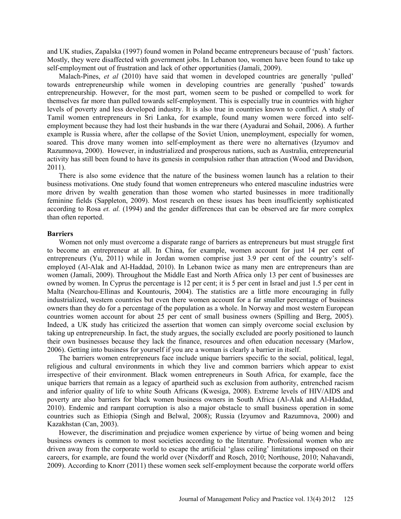and UK studies, Zapalska (1997) found women in Poland became entrepreneurs because of 'push' factors. Mostly, they were disaffected with government jobs. In Lebanon too, women have been found to take up self-employment out of frustration and lack of other opportunities (Jamali, 2009).

Malach-Pines, *et al* (2010) have said that women in developed countries are generally 'pulled' towards entrepreneurship while women in developing countries are generally 'pushed' towards entrepreneurship. However, for the most part, women seem to be pushed or compelled to work for themselves far more than pulled towards self-employment. This is especially true in countries with higher levels of poverty and less developed industry. It is also true in countries known to conflict. A study of Tamil women entrepreneurs in Sri Lanka, for example, found many women were forced into selfemployment because they had lost their husbands in the war there (Ayadurai and Sohail, 2006). A further example is Russia where, after the collapse of the Soviet Union, unemployment, especially for women, soared. This drove many women into self-employment as there were no alternatives (Izyumov and Razumnova, 2000). However, in industrialized and prosperous nations, such as Australia, entrepreneurial activity has still been found to have its genesis in compulsion rather than attraction (Wood and Davidson, 2011).

There is also some evidence that the nature of the business women launch has a relation to their business motivations. One study found that women entrepreneurs who entered masculine industries were more driven by wealth generation than those women who started businesses in more traditionally feminine fields (Sappleton, 2009). Most research on these issues has been insufficiently sophisticated according to Rosa *et. al.* (1994) and the gender differences that can be observed are far more complex than often reported.

#### **Barriers**

Women not only must overcome a disparate range of barriers as entrepreneurs but must struggle first to become an entrepreneur at all. In China, for example, women account for just 14 per cent of entrepreneurs (Yu, 2011) while in Jordan women comprise just 3.9 per cent of the country's selfemployed (Al-Alak and Al-Haddad, 2010). In Lebanon twice as many men are entrepreneurs than are women (Jamali, 2009). Throughout the Middle East and North Africa only 13 per cent of businesses are owned by women. In Cyprus the percentage is 12 per cent; it is 5 per cent in Israel and just 1.5 per cent in Malta (Nearchou-Ellinas and Kountouris, 2004). The statistics are a little more encouraging in fully industrialized, western countries but even there women account for a far smaller percentage of business owners than they do for a percentage of the population as a whole. In Norway and most western European countries women account for about 25 per cent of small business owners (Spilling and Berg, 2005). Indeed, a UK study has criticized the assertion that women can simply overcome social exclusion by taking up entrepreneurship. In fact, the study argues, the socially excluded are poorly positioned to launch their own businesses because they lack the finance, resources and often education necessary (Marlow, 2006). Getting into business for yourself if you are a woman is clearly a barrier in itself.

The barriers women entrepreneurs face include unique barriers specific to the social, political, legal, religious and cultural environments in which they live and common barriers which appear to exist irrespective of their environment. Black women entrepreneurs in South Africa, for example, face the unique barriers that remain as a legacy of apartheid such as exclusion from authority, entrenched racism and inferior quality of life to white South Africans (Kwesiga, 2008). Extreme levels of HIV/AIDS and poverty are also barriers for black women business owners in South Africa (Al-Alak and Al-Haddad, 2010). Endemic and rampant corruption is also a major obstacle to small business operation in some countries such as Ethiopia (Singh and Belwal, 2008); Russia (Izyumov and Razumnova, 2000) and Kazakhstan (Can, 2003).

However, the discrimination and prejudice women experience by virtue of being women and being business owners is common to most societies according to the literature. Professional women who are driven away from the corporate world to escape the artificial 'glass ceiling' limitations imposed on their careers, for example, are found the world over (Nixdorff and Rosch, 2010; Northouse, 2010; Nahavandi, 2009). According to Knorr (2011) these women seek self-employment because the corporate world offers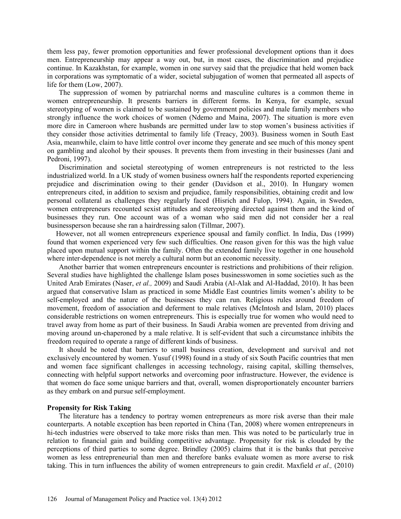them less pay, fewer promotion opportunities and fewer professional development options than it does men. Entrepreneurship may appear a way out, but, in most cases, the discrimination and prejudice continue. In Kazakhstan, for example, women in one survey said that the prejudice that held women back in corporations was symptomatic of a wider, societal subjugation of women that permeated all aspects of life for them (Low, 2007).

The suppression of women by patriarchal norms and masculine cultures is a common theme in women entrepreneurship. It presents barriers in different forms. In Kenya, for example, sexual stereotyping of women is claimed to be sustained by government policies and male family members who strongly influence the work choices of women (Ndemo and Maina, 2007). The situation is more even more dire in Cameroon where husbands are permitted under law to stop women's business activities if they consider those activities detrimental to family life (Treacy, 2003). Business women in South East Asia, meanwhile, claim to have little control over income they generate and see much of this money spent on gambling and alcohol by their spouses. It prevents them from investing in their businesses (Jani and Pedroni, 1997).

Discrimination and societal stereotyping of women entrepreneurs is not restricted to the less industrialized world. In a UK study of women business owners half the respondents reported experiencing prejudice and discrimination owing to their gender (Davidson et al., 2010). In Hungary women entrepreneurs cited, in addition to sexism and prejudice, family responsibilities, obtaining credit and low personal collateral as challenges they regularly faced (Hisrich and Fulop, 1994). Again, in Sweden, women entrepreneurs recounted sexist attitudes and stereotyping directed against them and the kind of businesses they run. One account was of a woman who said men did not consider her a real businessperson because she ran a hairdressing salon (Tillmar, 2007).

However, not all women entrepreneurs experience spousal and family conflict. In India, Das (1999) found that women experienced very few such difficulties. One reason given for this was the high value placed upon mutual support within the family. Often the extended family live together in one household where inter-dependence is not merely a cultural norm but an economic necessity.

Another barrier that women entrepreneurs encounter is restrictions and prohibitions of their religion. Several studies have highlighted the challenge Islam poses businesswomen in some societies such as the United Arab Emirates (Naser, *et al.,* 2009) and Saudi Arabia (Al-Alak and Al-Haddad, 2010). It has been argued that conservative Islam as practiced in some Middle East countries limits women's ability to be self-employed and the nature of the businesses they can run. Religious rules around freedom of movement, freedom of association and deferment to male relatives (McIntosh and Islam, 2010) places considerable restrictions on women entrepreneurs. This is especially true for women who would need to travel away from home as part of their business. In Saudi Arabia women are prevented from driving and moving around un-chaperoned by a male relative. It is self-evident that such a circumstance inhibits the freedom required to operate a range of different kinds of business.

It should be noted that barriers to small business creation, development and survival and not exclusively encountered by women. Yusuf (1998) found in a study of six South Pacific countries that men and women face significant challenges in accessing technology, raising capital, skilling themselves, connecting with helpful support networks and overcoming poor infrastructure. However, the evidence is that women do face some unique barriers and that, overall, women disproportionately encounter barriers as they embark on and pursue self-employment.

#### **Propensity for Risk Taking**

The literature has a tendency to portray women entrepreneurs as more risk averse than their male counterparts. A notable exception has been reported in China (Tan, 2008) where women entrepreneurs in hi-tech industries were observed to take more risks than men. This was noted to be particularly true in relation to financial gain and building competitive advantage. Propensity for risk is clouded by the perceptions of third parties to some degree. Brindley (2005) claims that it is the banks that perceive women as less entrepreneurial than men and therefore banks evaluate women as more averse to risk taking. This in turn influences the ability of women entrepreneurs to gain credit. Maxfield *et al.,* (2010)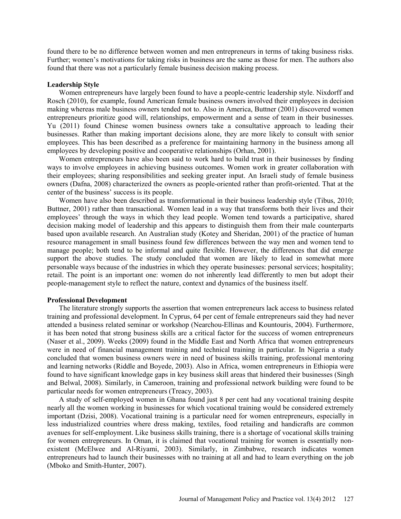found there to be no difference between women and men entrepreneurs in terms of taking business risks. Further; women's motivations for taking risks in business are the same as those for men. The authors also found that there was not a particularly female business decision making process.

#### **Leadership Style**

Women entrepreneurs have largely been found to have a people-centric leadership style. Nixdorff and Rosch (2010), for example, found American female business owners involved their employees in decision making whereas male business owners tended not to. Also in America, Buttner (2001) discovered women entrepreneurs prioritize good will, relationships, empowerment and a sense of team in their businesses. Yu (2011) found Chinese women business owners take a consultative approach to leading their businesses. Rather than making important decisions alone, they are more likely to consult with senior employees. This has been described as a preference for maintaining harmony in the business among all employees by developing positive and cooperative relationships (Orhan, 2001).

Women entrepreneurs have also been said to work hard to build trust in their businesses by finding ways to involve employees in achieving business outcomes. Women work in greater collaboration with their employees; sharing responsibilities and seeking greater input. An Israeli study of female business owners (Dafna, 2008) characterized the owners as people-oriented rather than profit-oriented. That at the center of the business' success is its people.

Women have also been described as transformational in their business leadership style (Tibus, 2010; Buttner, 2001) rather than transactional. Women lead in a way that transforms both their lives and their employees' through the ways in which they lead people. Women tend towards a participative, shared decision making model of leadership and this appears to distinguish them from their male counterparts based upon available research. An Australian study (Kotey and Sheridan, 2001) of the practice of human resource management in small business found few differences between the way men and women tend to manage people; both tend to be informal and quite flexible. However, the differences that did emerge support the above studies. The study concluded that women are likely to lead in somewhat more personable ways because of the industries in which they operate businesses: personal services; hospitality; retail. The point is an important one: women do not inherently lead differently to men but adopt their people-management style to reflect the nature, context and dynamics of the business itself.

#### **Professional Development**

The literature strongly supports the assertion that women entrepreneurs lack access to business related training and professional development. In Cyprus, 64 per cent of female entrepreneurs said they had never attended a business related seminar or workshop (Nearchou-Ellinas and Kountouris, 2004). Furthermore, it has been noted that strong business skills are a critical factor for the success of women entrepreneurs (Naser et al., 2009). Weeks (2009) found in the Middle East and North Africa that women entrepreneurs were in need of financial management training and technical training in particular. In Nigeria a study concluded that women business owners were in need of business skills training, professional mentoring and learning networks (Riddle and Boyede, 2003). Also in Africa, women entrepreneurs in Ethiopia were found to have significant knowledge gaps in key business skill areas that hindered their businesses (Singh and Belwal, 2008). Similarly, in Cameroon, training and professional network building were found to be particular needs for women entrepreneurs (Treacy, 2003).

A study of self-employed women in Ghana found just 8 per cent had any vocational training despite nearly all the women working in businesses for which vocational training would be considered extremely important (Dzisi, 2008). Vocational training is a particular need for women entrepreneurs, especially in less industrialized countries where dress making, textiles, food retailing and handicrafts are common avenues for self-employment. Like business skills training, there is a shortage of vocational skills training for women entrepreneurs. In Oman, it is claimed that vocational training for women is essentially nonexistent (McElwee and Al-Riyami, 2003). Similarly, in Zimbabwe, research indicates women entrepreneurs had to launch their businesses with no training at all and had to learn everything on the job (Mboko and Smith-Hunter, 2007).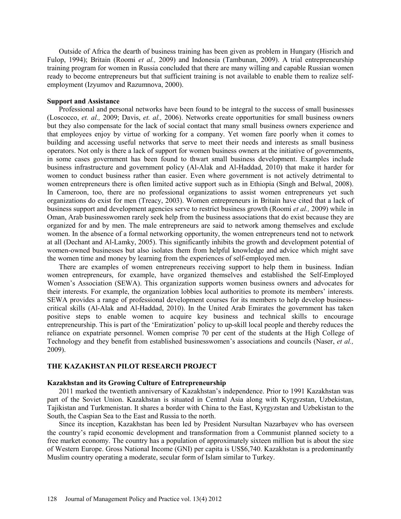Outside of Africa the dearth of business training has been given as problem in Hungary (Hisrich and Fulop, 1994); Britain (Roomi *et al.,* 2009) and Indonesia (Tambunan, 2009). A trial entrepreneurship training program for women in Russia concluded that there are many willing and capable Russian women ready to become entrepreneurs but that sufficient training is not available to enable them to realize selfemployment (Izyumov and Razumnova, 2000).

#### **Support and Assistance**

Professional and personal networks have been found to be integral to the success of small businesses (Loscocco, *et. al.,* 2009; Davis, *et. al.,* 2006). Networks create opportunities for small business owners but they also compensate for the lack of social contact that many small business owners experience and that employees enjoy by virtue of working for a company. Yet women fare poorly when it comes to building and accessing useful networks that serve to meet their needs and interests as small business operators. Not only is there a lack of support for women business owners at the initiative of governments, in some cases government has been found to thwart small business development. Examples include business infrastructure and government policy (Al-Alak and Al-Haddad, 2010) that make it harder for women to conduct business rather than easier. Even where government is not actively detrimental to women entrepreneurs there is often limited active support such as in Ethiopia (Singh and Belwal, 2008). In Cameroon, too, there are no professional organizations to assist women entrepreneurs yet such organizations do exist for men (Treacy, 2003). Women entrepreneurs in Britain have cited that a lack of business support and development agencies serve to restrict business growth (Roomi *et al.,* 2009) while in Oman, Arab businesswomen rarely seek help from the business associations that do exist because they are organized for and by men. The male entrepreneurs are said to network among themselves and exclude women. In the absence of a formal networking opportunity, the women entrepreneurs tend not to network at all (Dechant and Al-Lamky, 2005). This significantly inhibits the growth and development potential of women-owned businesses but also isolates them from helpful knowledge and advice which might save the women time and money by learning from the experiences of self-employed men.

There are examples of women entrepreneurs receiving support to help them in business. Indian women entrepreneurs, for example, have organized themselves and established the Self-Employed Women's Association (SEWA). This organization supports women business owners and advocates for their interests. For example, the organization lobbies local authorities to promote its members' interests. SEWA provides a range of professional development courses for its members to help develop businesscritical skills (Al-Alak and Al-Haddad, 2010). In the United Arab Emirates the government has taken positive steps to enable women to acquire key business and technical skills to encourage entrepreneurship. This is part of the 'Emiratization' policy to up-skill local people and thereby reduces the reliance on expatriate personnel. Women comprise 70 per cent of the students at the High College of Technology and they benefit from established businesswomen's associations and councils (Naser, *et al.,* 2009).

#### **THE KAZAKHSTAN PILOT RESEARCH PROJECT**

### **Kazakhstan and its Growing Culture of Entrepreneurship**

2011 marked the twentieth anniversary of Kazakhstan's independence. Prior to 1991 Kazakhstan was part of the Soviet Union. Kazakhstan is situated in Central Asia along with Kyrgyzstan, Uzbekistan, Tajikistan and Turkmenistan. It shares a border with China to the East, Kyrgyzstan and Uzbekistan to the South, the Caspian Sea to the East and Russia to the north.

Since its inception, Kazakhstan has been led by President Nursultan Nazarbayev who has overseen the country's rapid economic development and transformation from a Communist planned society to a free market economy. The country has a population of approximately sixteen million but is about the size of Western Europe. Gross National Income (GNI) per capita is US\$6,740. Kazakhstan is a predominantly Muslim country operating a moderate, secular form of Islam similar to Turkey.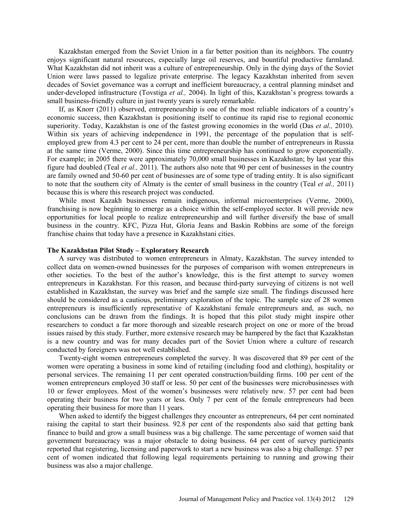Kazakhstan emerged from the Soviet Union in a far better position than its neighbors. The country enjoys significant natural resources, especially large oil reserves, and bountiful productive farmland. What Kazakhstan did not inherit was a culture of entrepreneurship. Only in the dying days of the Soviet Union were laws passed to legalize private enterprise. The legacy Kazakhstan inherited from seven decades of Soviet governance was a corrupt and inefficient bureaucracy, a central planning mindset and under-developed infrastructure (Tovstiga *et al.,* 2004). In light of this, Kazakhstan's progress towards a small business-friendly culture in just twenty years is surely remarkable.

If, as Knorr (2011) observed, entrepreneurship is one of the most reliable indicators of a country's economic success, then Kazakhstan is positioning itself to continue its rapid rise to regional economic superiority. Today, Kazakhstan is one of the fastest growing economies in the world (Das *et al.,* 2010). Within six years of achieving independence in 1991, the percentage of the population that is selfemployed grew from 4.3 per cent to 24 per cent, more than double the number of entrepreneurs in Russia at the same time (Verme, 2000). Since this time entrepreneurship has continued to grow exponentially. For example; in 2005 there were approximately 70,000 small businesses in Kazakhstan; by last year this figure had doubled (Teal *et al.,* 2011). The authors also note that 90 per cent of businesses in the country are family owned and 50-60 per cent of businesses are of some type of trading entity. It is also significant to note that the southern city of Almaty is the center of small business in the country (Teal *et al.,* 2011) because this is where this research project was conducted.

While most Kazakh businesses remain indigenous, informal microenterprises (Verme, 2000), franchising is now beginning to emerge as a choice within the self-employed sector. It will provide new opportunities for local people to realize entrepreneurship and will further diversify the base of small business in the country. KFC, Pizza Hut, Gloria Jeans and Baskin Robbins are some of the foreign franchise chains that today have a presence in Kazakhstani cities.

#### **The Kazakhstan Pilot Study – Exploratory Research**

A survey was distributed to women entrepreneurs in Almaty, Kazakhstan. The survey intended to collect data on women-owned businesses for the purposes of comparison with women entrepreneurs in other societies. To the best of the author's knowledge, this is the first attempt to survey women entrepreneurs in Kazakhstan. For this reason, and because third-party surveying of citizens is not well established in Kazakhstan, the survey was brief and the sample size small. The findings discussed here should be considered as a cautious, preliminary exploration of the topic. The sample size of 28 women entrepreneurs is insufficiently representative of Kazakhstani female entrepreneurs and, as such, no conclusions can be drawn from the findings. It is hoped that this pilot study might inspire other researchers to conduct a far more thorough and sizeable research project on one or more of the broad issues raised by this study. Further, more extensive research may be hampered by the fact that Kazakhstan is a new country and was for many decades part of the Soviet Union where a culture of research conducted by foreigners was not well established.

Twenty-eight women entrepreneurs completed the survey. It was discovered that 89 per cent of the women were operating a business in some kind of retailing (including food and clothing), hospitality or personal services. The remaining 11 per cent operated construction/building firms. 100 per cent of the women entrepreneurs employed 30 staff or less. 50 per cent of the businesses were microbusinesses with 10 or fewer employees. Most of the women's businesses were relatively new. 57 per cent had been operating their business for two years or less. Only 7 per cent of the female entrepreneurs had been operating their business for more than 11 years.

When asked to identify the biggest challenges they encounter as entrepreneurs, 64 per cent nominated raising the capital to start their business. 92.8 per cent of the respondents also said that getting bank finance to build and grow a small business was a big challenge. The same percentage of women said that government bureaucracy was a major obstacle to doing business. 64 per cent of survey participants reported that registering, licensing and paperwork to start a new business was also a big challenge. 57 per cent of women indicated that following legal requirements pertaining to running and growing their business was also a major challenge.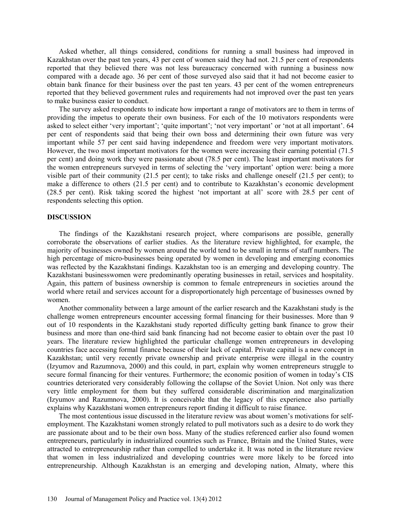Asked whether, all things considered, conditions for running a small business had improved in Kazakhstan over the past ten years, 43 per cent of women said they had not. 21.5 per cent of respondents reported that they believed there was not less bureaucracy concerned with running a business now compared with a decade ago. 36 per cent of those surveyed also said that it had not become easier to obtain bank finance for their business over the past ten years. 43 per cent of the women entrepreneurs reported that they believed government rules and requirements had not improved over the past ten years to make business easier to conduct.

The survey asked respondents to indicate how important a range of motivators are to them in terms of providing the impetus to operate their own business. For each of the 10 motivators respondents were asked to select either 'very important'; 'quite important'; 'not very important' or 'not at all important'. 64 per cent of respondents said that being their own boss and determining their own future was very important while 57 per cent said having independence and freedom were very important motivators. However, the two most important motivators for the women were increasing their earning potential (71.5 per cent) and doing work they were passionate about (78.5 per cent). The least important motivators for the women entrepreneurs surveyed in terms of selecting the 'very important' option were: being a more visible part of their community (21.5 per cent); to take risks and challenge oneself (21.5 per cent); to make a difference to others (21.5 per cent) and to contribute to Kazakhstan's economic development (28.5 per cent). Risk taking scored the highest 'not important at all' score with 28.5 per cent of respondents selecting this option.

### **DISCUSSION**

The findings of the Kazakhstani research project, where comparisons are possible, generally corroborate the observations of earlier studies. As the literature review highlighted, for example, the majority of businesses owned by women around the world tend to be small in terms of staff numbers. The high percentage of micro-businesses being operated by women in developing and emerging economies was reflected by the Kazakhstani findings. Kazakhstan too is an emerging and developing country. The Kazakhstani businesswomen were predominantly operating businesses in retail, services and hospitality. Again, this pattern of business ownership is common to female entrepreneurs in societies around the world where retail and services account for a disproportionately high percentage of businesses owned by women.

Another commonality between a large amount of the earlier research and the Kazakhstani study is the challenge women entrepreneurs encounter accessing formal financing for their businesses. More than 9 out of 10 respondents in the Kazakhstani study reported difficulty getting bank finance to grow their business and more than one-third said bank financing had not become easier to obtain over the past 10 years. The literature review highlighted the particular challenge women entrepreneurs in developing countries face accessing formal finance because of their lack of capital. Private capital is a new concept in Kazakhstan; until very recently private ownership and private enterprise were illegal in the country (Izyumov and Razumnova, 2000) and this could, in part, explain why women entrepreneurs struggle to secure formal financing for their ventures. Furthermore; the economic position of women in today's CIS countries deteriorated very considerably following the collapse of the Soviet Union. Not only was there very little employment for them but they suffered considerable discrimination and marginalization (Izyumov and Razumnova, 2000). It is conceivable that the legacy of this experience also partially explains why Kazakhstani women entrepreneurs report finding it difficult to raise finance.

The most contentious issue discussed in the literature review was about women's motivations for selfemployment. The Kazakhstani women strongly related to pull motivators such as a desire to do work they are passionate about and to be their own boss. Many of the studies referenced earlier also found women entrepreneurs, particularly in industrialized countries such as France, Britain and the United States, were attracted to entrepreneurship rather than compelled to undertake it. It was noted in the literature review that women in less industrialized and developing countries were more likely to be forced into entrepreneurship. Although Kazakhstan is an emerging and developing nation, Almaty, where this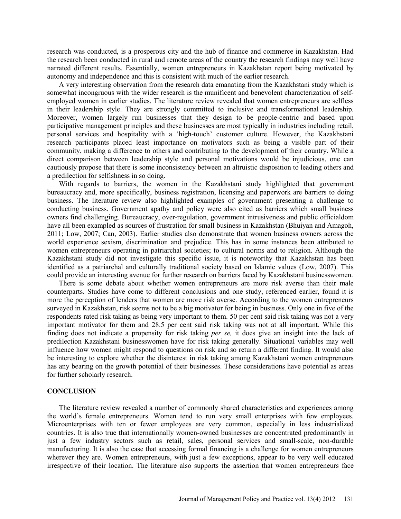research was conducted, is a prosperous city and the hub of finance and commerce in Kazakhstan. Had the research been conducted in rural and remote areas of the country the research findings may well have narrated different results. Essentially, women entrepreneurs in Kazakhstan report being motivated by autonomy and independence and this is consistent with much of the earlier research.

A very interesting observation from the research data emanating from the Kazakhstani study which is somewhat incongruous with the wider research is the munificent and benevolent characterization of selfemployed women in earlier studies. The literature review revealed that women entrepreneurs are selfless in their leadership style. They are strongly committed to inclusive and transformational leadership. Moreover, women largely run businesses that they design to be people-centric and based upon participative management principles and these businesses are most typically in industries including retail, personal services and hospitality with a 'high-touch' customer culture. However, the Kazakhstani research participants placed least importance on motivators such as being a visible part of their community, making a difference to others and contributing to the development of their country. While a direct comparison between leadership style and personal motivations would be injudicious, one can cautiously propose that there is some inconsistency between an altruistic disposition to leading others and a predilection for selfishness in so doing.

With regards to barriers, the women in the Kazakhstani study highlighted that government bureaucracy and, more specifically, business registration, licensing and paperwork are barriers to doing business. The literature review also highlighted examples of government presenting a challenge to conducting business. Government apathy and policy were also cited as barriers which small business owners find challenging. Bureaucracy, over-regulation, government intrusiveness and public officialdom have all been exampled as sources of frustration for small business in Kazakhstan (Bhuiyan and Amagoh, 2011; Low, 2007; Can, 2003). Earlier studies also demonstrate that women business owners across the world experience sexism, discrimination and prejudice. This has in some instances been attributed to women entrepreneurs operating in patriarchal societies; to cultural norms and to religion. Although the Kazakhstani study did not investigate this specific issue, it is noteworthy that Kazakhstan has been identified as a patriarchal and culturally traditional society based on Islamic values (Low, 2007). This could provide an interesting avenue for further research on barriers faced by Kazakhstani businesswomen.

There is some debate about whether women entrepreneurs are more risk averse than their male counterparts. Studies have come to different conclusions and one study, referenced earlier, found it is more the perception of lenders that women are more risk averse. According to the women entrepreneurs surveyed in Kazakhstan, risk seems not to be a big motivator for being in business. Only one in five of the respondents rated risk taking as being very important to them. 50 per cent said risk taking was not a very important motivator for them and 28.5 per cent said risk taking was not at all important. While this finding does not indicate a propensity for risk taking *per se,* it does give an insight into the lack of predilection Kazakhstani businesswomen have for risk taking generally. Situational variables may well influence how women might respond to questions on risk and so return a different finding. It would also be interesting to explore whether the disinterest in risk taking among Kazakhstani women entrepreneurs has any bearing on the growth potential of their businesses. These considerations have potential as areas for further scholarly research.

#### **CONCLUSION**

The literature review revealed a number of commonly shared characteristics and experiences among the world's female entrepreneurs. Women tend to run very small enterprises with few employees. Microenterprises with ten or fewer employees are very common, especially in less industrialized countries. It is also true that internationally women-owned businesses are concentrated predominantly in just a few industry sectors such as retail, sales, personal services and small-scale, non-durable manufacturing. It is also the case that accessing formal financing is a challenge for women entrepreneurs wherever they are. Women entrepreneurs, with just a few exceptions, appear to be very well educated irrespective of their location. The literature also supports the assertion that women entrepreneurs face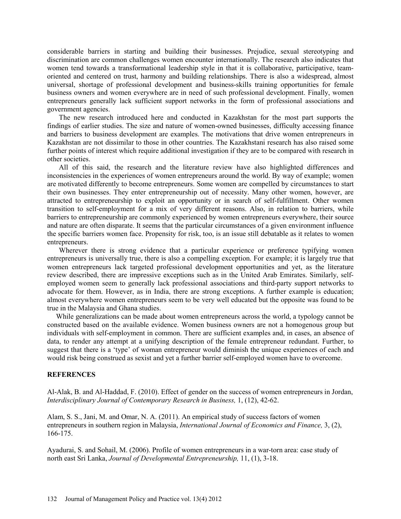considerable barriers in starting and building their businesses. Prejudice, sexual stereotyping and discrimination are common challenges women encounter internationally. The research also indicates that women tend towards a transformational leadership style in that it is collaborative, participative, teamoriented and centered on trust, harmony and building relationships. There is also a widespread, almost universal, shortage of professional development and business-skills training opportunities for female business owners and women everywhere are in need of such professional development. Finally, women entrepreneurs generally lack sufficient support networks in the form of professional associations and government agencies.

The new research introduced here and conducted in Kazakhstan for the most part supports the findings of earlier studies. The size and nature of women-owned businesses, difficulty accessing finance and barriers to business development are examples. The motivations that drive women entrepreneurs in Kazakhstan are not dissimilar to those in other countries. The Kazakhstani research has also raised some further points of interest which require additional investigation if they are to be compared with research in other societies.

All of this said, the research and the literature review have also highlighted differences and inconsistencies in the experiences of women entrepreneurs around the world. By way of example; women are motivated differently to become entrepreneurs. Some women are compelled by circumstances to start their own businesses. They enter entrepreneurship out of necessity. Many other women, however, are attracted to entrepreneurship to exploit an opportunity or in search of self-fulfillment. Other women transition to self-employment for a mix of very different reasons. Also, in relation to barriers, while barriers to entrepreneurship are commonly experienced by women entrepreneurs everywhere, their source and nature are often disparate. It seems that the particular circumstances of a given environment influence the specific barriers women face. Propensity for risk, too, is an issue still debatable as it relates to women entrepreneurs.

Wherever there is strong evidence that a particular experience or preference typifying women entrepreneurs is universally true, there is also a compelling exception. For example; it is largely true that women entrepreneurs lack targeted professional development opportunities and yet, as the literature review described, there are impressive exceptions such as in the United Arab Emirates. Similarly, selfemployed women seem to generally lack professional associations and third-party support networks to advocate for them. However, as in India, there are strong exceptions. A further example is education; almost everywhere women entrepreneurs seem to be very well educated but the opposite was found to be true in the Malaysia and Ghana studies.

While generalizations can be made about women entrepreneurs across the world, a typology cannot be constructed based on the available evidence. Women business owners are not a homogenous group but individuals with self-employment in common. There are sufficient examples and, in cases, an absence of data, to render any attempt at a unifying description of the female entrepreneur redundant. Further, to suggest that there is a 'type' of woman entrepreneur would diminish the unique experiences of each and would risk being construed as sexist and yet a further barrier self-employed women have to overcome.

## **REFERENCES**

Al-Alak, B. and Al-Haddad, F. (2010). Effect of gender on the success of women entrepreneurs in Jordan, *Interdisciplinary Journal of Contemporary Research in Business,* 1, (12), 42-62.

Alam, S. S., Jani, M. and Omar, N. A. (2011). An empirical study of success factors of women entrepreneurs in southern region in Malaysia, *International Journal of Economics and Finance,* 3, (2), 166-175.

Ayadurai, S. and Sohail, M. (2006). Profile of women entrepreneurs in a war-torn area: case study of north east Sri Lanka, *Journal of Developmental Entrepreneurship,* 11, (1), 3-18.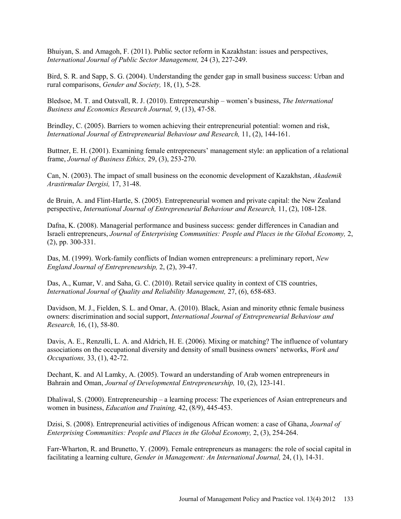Bhuiyan, S. and Amagoh, F. (2011). Public sector reform in Kazakhstan: issues and perspectives, *International Journal of Public Sector Management,* 24 (3), 227-249.

Bird, S. R. and Sapp, S. G. (2004). Understanding the gender gap in small business success: Urban and rural comparisons, *Gender and Society,* 18, (1), 5-28.

Bledsoe, M. T. and Oatsvall, R. J. (2010). Entrepreneurship – women's business, *The International Business and Economics Research Journal,* 9, (13), 47-58.

Brindley, C. (2005). Barriers to women achieving their entrepreneurial potential: women and risk, *International Journal of Entrepreneurial Behaviour and Research,* 11, (2), 144-161.

Buttner, E. H. (2001). Examining female entrepreneurs' management style: an application of a relational frame, *Journal of Business Ethics,* 29, (3), 253-270.

Can, N. (2003). The impact of small business on the economic development of Kazakhstan, *Akademik Arastirmalar Dergisi,* 17, 31-48.

de Bruin, A. and Flint-Hartle, S. (2005). Entrepreneurial women and private capital: the New Zealand perspective, *International Journal of Entrepreneurial Behaviour and Research,* 11, (2), 108-128.

Dafna, K. (2008). Managerial performance and business success: gender differences in Canadian and Israeli entrepreneurs, *Journal of Enterprising Communities: People and Places in the Global Economy,* 2, (2), pp. 300-331.

Das, M. (1999). Work-family conflicts of Indian women entrepreneurs: a preliminary report, *New England Journal of Entrepreneurship,* 2, (2), 39-47.

Das, A., Kumar, V. and Saha, G. C. (2010). Retail service quality in context of CIS countries, *International Journal of Quality and Reliability Management,* 27, (6), 658-683.

Davidson, M. J., Fielden, S. L. and Omar, A. (2010). Black, Asian and minority ethnic female business owners: discrimination and social support, *International Journal of Entrepreneurial Behaviour and Research,* 16, (1), 58-80.

Davis, A. E., Renzulli, L. A. and Aldrich, H. E. (2006). Mixing or matching? The influence of voluntary associations on the occupational diversity and density of small business owners' networks, *Work and Occupations,* 33, (1), 42-72.

Dechant, K. and Al Lamky, A. (2005). Toward an understanding of Arab women entrepreneurs in Bahrain and Oman, *Journal of Developmental Entrepreneurship,* 10, (2), 123-141.

Dhaliwal, S. (2000). Entrepreneurship – a learning process: The experiences of Asian entrepreneurs and women in business, *Education and Training,* 42, (8/9), 445-453.

Dzisi, S. (2008). Entrepreneurial activities of indigenous African women: a case of Ghana, *Journal of Enterprising Communities: People and Places in the Global Economy,* 2, (3), 254-264.

Farr-Wharton, R. and Brunetto, Y. (2009). Female entrepreneurs as managers: the role of social capital in facilitating a learning culture, *Gender in Management: An International Journal,* 24, (1), 14-31.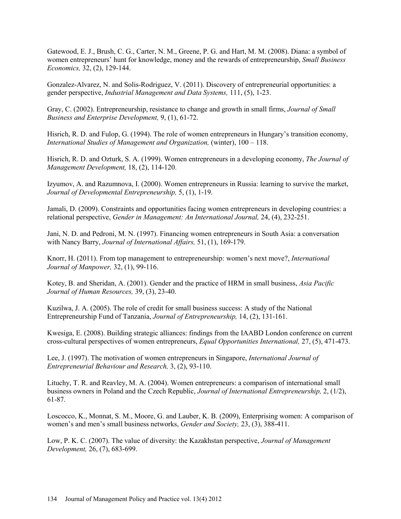Gatewood, E. J., Brush, C. G., Carter, N. M., Greene, P. G. and Hart, M. M. (2008). Diana: a symbol of women entrepreneurs' hunt for knowledge, money and the rewards of entrepreneurship, *Small Business Economics,* 32, (2), 129-144.

Gonzalez-Alvarez, N. and Solis-Rodriguez, V. (2011). Discovery of entrepreneurial opportunities: a gender perspective, *Industrial Management and Data Systems,* 111, (5), 1-23.

Gray, C. (2002). Entrepreneurship, resistance to change and growth in small firms, *Journal of Small Business and Enterprise Development,* 9, (1), 61-72.

Hisrich, R. D. and Fulop, G. (1994). The role of women entrepreneurs in Hungary's transition economy, *International Studies of Management and Organization,* (winter), 100 – 118.

Hisrich, R. D. and Ozturk, S. A. (1999). Women entrepreneurs in a developing economy, *The Journal of Management Development,* 18, (2), 114-120.

Izyumov, A. and Razumnova, I. (2000). Women entrepreneurs in Russia: learning to survive the market, *Journal of Developmental Entrepreneurship,* 5, (1), 1-19.

Jamali, D. (2009). Constraints and opportunities facing women entrepreneurs in developing countries: a relational perspective, *Gender in Management: An International Journal,* 24, (4), 232-251.

Jani, N. D. and Pedroni, M. N. (1997). Financing women entrepreneurs in South Asia: a conversation with Nancy Barry, *Journal of International Affairs,* 51, (1), 169-179.

Knorr, H. (2011). From top management to entrepreneurship: women's next move?, *International Journal of Manpower,* 32, (1), 99-116.

Kotey, B. and Sheridan, A. (2001). Gender and the practice of HRM in small business, *Asia Pacific Journal of Human Resources,* 39, (3), 23-40.

Kuzilwa, J. A. (2005). The role of credit for small business success: A study of the National Entrepreneurship Fund of Tanzania, *Journal of Entrepreneurship,* 14, (2), 131-161.

Kwesiga, E. (2008). Building strategic alliances: findings from the IAABD London conference on current cross-cultural perspectives of women entrepreneurs, *Equal Opportunities International,* 27, (5), 471-473.

Lee, J. (1997). The motivation of women entrepreneurs in Singapore, *International Journal of Entrepreneurial Behaviour and Research,* 3, (2), 93-110.

Lituchy, T. R. and Reavley, M. A. (2004). Women entrepreneurs: a comparison of international small business owners in Poland and the Czech Republic, *Journal of International Entrepreneurship,* 2, (1/2), 61-87.

Loscocco, K., Monnat, S. M., Moore, G. and Lauber, K. B. (2009), Enterprising women: A comparison of women's and men's small business networks, *Gender and Society,* 23, (3), 388-411.

Low, P. K. C. (2007). The value of diversity: the Kazakhstan perspective, *Journal of Management Development,* 26, (7), 683-699.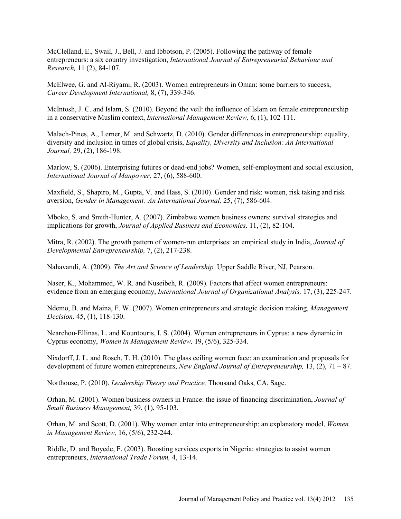McClelland, E., Swail, J., Bell, J. and Ibbotson, P. (2005). Following the pathway of female entrepreneurs: a six country investigation, *International Journal of Entrepreneurial Behaviour and Research,* 11 (2), 84-107.

McElwee, G. and Al-Riyami, R. (2003). Women entrepreneurs in Oman: some barriers to success, *Career Development International,* 8, (7), 339-346.

McIntosh, J. C. and Islam, S. (2010). Beyond the veil: the influence of Islam on female entrepreneurship in a conservative Muslim context, *International Management Review,* 6, (1), 102-111.

Malach-Pines, A., Lerner, M. and Schwartz, D. (2010). Gender differences in entrepreneurship: equality, diversity and inclusion in times of global crisis, *Equality, Diversity and Inclusion: An International Journal,* 29, (2), 186-198.

Marlow, S. (2006). Enterprising futures or dead-end jobs? Women, self-employment and social exclusion, *International Journal of Manpower,* 27, (6), 588-600.

Maxfield, S., Shapiro, M., Gupta, V. and Hass, S. (2010). Gender and risk: women, risk taking and risk aversion, *Gender in Management: An International Journal,* 25, (7), 586-604.

Mboko, S. and Smith-Hunter, A. (2007). Zimbabwe women business owners: survival strategies and implications for growth, *Journal of Applied Business and Economics,* 11, (2), 82-104.

Mitra, R. (2002). The growth pattern of women-run enterprises: an empirical study in India, *Journal of Developmental Entrepreneurship,* 7, (2), 217-238.

Nahavandi, A. (2009). *The Art and Science of Leadership,* Upper Saddle River, NJ, Pearson.

Naser, K., Mohammed, W. R. and Nuseibeh, R. (2009). Factors that affect women entrepreneurs: evidence from an emerging economy, *International Journal of Organizational Analysis,* 17, (3), 225-247.

Ndemo, B. and Maina, F. W. (2007). Women entrepreneurs and strategic decision making, *Management Decision,* 45, (1), 118-130.

Nearchou-Ellinas, L. and Kountouris, I. S. (2004). Women entrepreneurs in Cyprus: a new dynamic in Cyprus economy, *Women in Management Review,* 19, (5/6), 325-334.

Nixdorff, J. L. and Rosch, T. H. (2010). The glass ceiling women face: an examination and proposals for development of future women entrepreneurs, *New England Journal of Entrepreneurship,* 13, (2), 71 – 87.

Northouse, P. (2010). *Leadership Theory and Practice,* Thousand Oaks, CA, Sage.

Orhan, M. (2001). Women business owners in France: the issue of financing discrimination, *Journal of Small Business Management,* 39, (1), 95-103.

Orhan, M. and Scott, D. (2001). Why women enter into entrepreneurship: an explanatory model, *Women in Management Review,* 16, (5/6), 232-244.

Riddle, D. and Boyede, F. (2003). Boosting services exports in Nigeria: strategies to assist women entrepreneurs, *International Trade Forum,* 4, 13-14.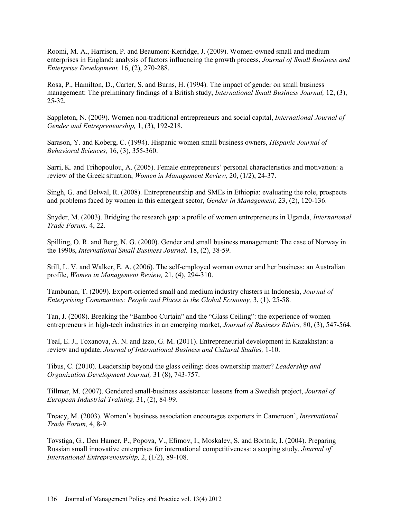Roomi, M. A., Harrison, P. and Beaumont-Kerridge, J. (2009). Women-owned small and medium enterprises in England: analysis of factors influencing the growth process, *Journal of Small Business and Enterprise Development,* 16, (2), 270-288.

Rosa, P., Hamilton, D., Carter, S. and Burns, H. (1994). The impact of gender on small business management: The preliminary findings of a British study, *International Small Business Journal,* 12, (3), 25-32.

Sappleton, N. (2009). Women non-traditional entrepreneurs and social capital, *International Journal of Gender and Entrepreneurship,* 1, (3), 192-218.

Sarason, Y. and Koberg, C. (1994). Hispanic women small business owners, *Hispanic Journal of Behavioral Sciences,* 16, (3), 355-360.

Sarri, K. and Trihopoulou, A. (2005). Female entrepreneurs' personal characteristics and motivation: a review of the Greek situation, *Women in Management Review,* 20, (1/2), 24-37.

Singh, G. and Belwal, R. (2008). Entrepreneurship and SMEs in Ethiopia: evaluating the role, prospects and problems faced by women in this emergent sector, *Gender in Management,* 23, (2), 120-136.

Snyder, M. (2003). Bridging the research gap: a profile of women entrepreneurs in Uganda, *International Trade Forum,* 4, 22.

Spilling, O. R. and Berg, N. G. (2000). Gender and small business management: The case of Norway in the 1990s, *International Small Business Journal,* 18, (2), 38-59.

Still, L. V. and Walker, E. A. (2006). The self-employed woman owner and her business: an Australian profile, *Women in Management Review,* 21, (4), 294-310.

Tambunan, T. (2009). Export-oriented small and medium industry clusters in Indonesia, *Journal of Enterprising Communities: People and Places in the Global Economy,* 3, (1), 25-58.

Tan, J. (2008). Breaking the "Bamboo Curtain" and the "Glass Ceiling": the experience of women entrepreneurs in high-tech industries in an emerging market, *Journal of Business Ethics,* 80, (3), 547-564.

Teal, E. J., Toxanova, A. N. and Izzo, G. M. (2011). Entrepreneurial development in Kazakhstan: a review and update, *Journal of International Business and Cultural Studies,* 1-10.

Tibus, C. (2010). Leadership beyond the glass ceiling: does ownership matter? *Leadership and Organization Development Journal,* 31 (8), 743-757.

Tillmar, M. (2007). Gendered small-business assistance: lessons from a Swedish project, *Journal of European Industrial Training,* 31, (2), 84-99.

Treacy, M. (2003). Women's business association encourages exporters in Cameroon', *International Trade Forum,* 4, 8-9.

Tovstiga, G., Den Hamer, P., Popova, V., Efimov, I., Moskalev, S. and Bortnik, I. (2004). Preparing Russian small innovative enterprises for international competitiveness: a scoping study, *Journal of International Entrepreneurship,* 2, (1/2), 89-108.